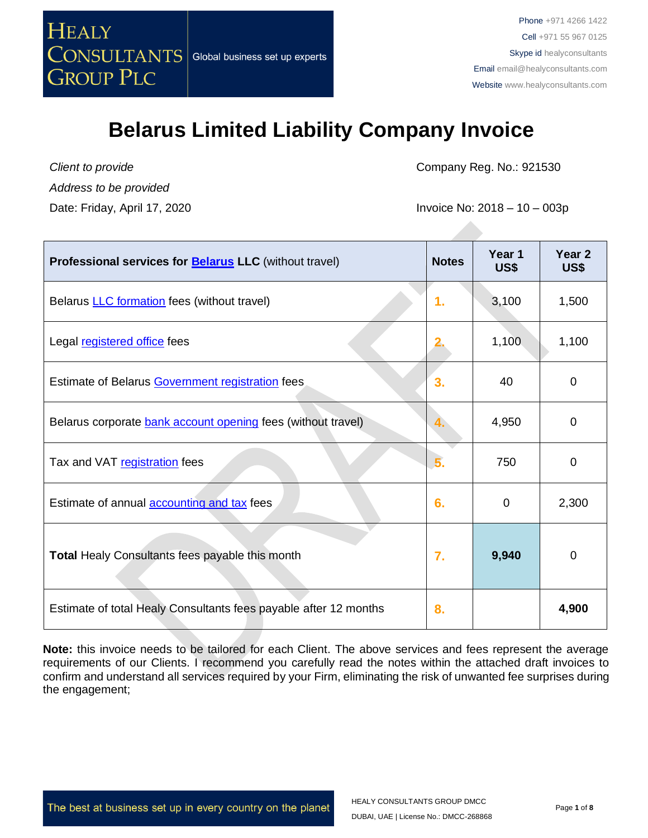

*Client to provide Address to be provided* Company Reg. No.: 921530

Date: Friday, April 17, 2020 **Invoice No: 2018 – 10 – 003p** 

| <b>Professional services for Belarus LLC</b> (without travel)    | <b>Notes</b> | Year 1<br>US\$ | Year <sub>2</sub><br>US\$ |
|------------------------------------------------------------------|--------------|----------------|---------------------------|
| Belarus <b>LLC</b> formation fees (without travel)               | 1.           | 3,100          | 1,500                     |
| Legal registered office fees                                     |              | 1,100          | 1,100                     |
| Estimate of Belarus Government registration fees                 | 3.           | 40             | 0                         |
| Belarus corporate bank account opening fees (without travel)     |              | 4,950          | $\Omega$                  |
| Tax and VAT registration fees                                    | 5.           | 750            | 0                         |
| Estimate of annual <b>accounting and tax</b> fees                | 6.           | 0              | 2,300                     |
| <b>Total Healy Consultants fees payable this month</b>           | 7.           | 9,940          | 0                         |
| Estimate of total Healy Consultants fees payable after 12 months | 8.           |                | 4,900                     |

**Note:** this invoice needs to be tailored for each Client. The above services and fees represent the average requirements of our Clients. I recommend you carefully read the notes within the attached draft invoices to confirm and understand all services required by your Firm, eliminating the risk of unwanted fee surprises during the engagement;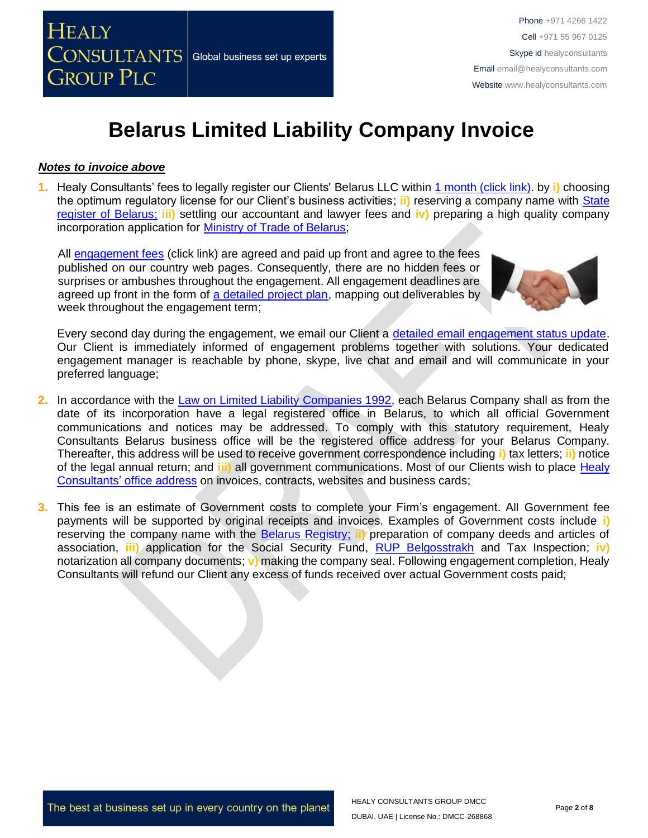

#### *Notes to invoice above*

**1.** Healy Consultants' fees to legally register our Clients' Belarus LLC within 1 month [\(click link\).](http://www.healyconsultants.com/belarus-company-registration/fees-timelines/#timelines) by **i)** choosing the optimum regulatory license for our Client's business activities; **ii)** reserving a company name with [State](http://www.egrul.ru/)  [register of Belarus;](http://www.egrul.ru/) **iii)** settling our accountant and lawyer fees and **iv)** preparing a high quality company incorporation application for [Ministry of Trade of Belarus;](http://www.mintorg.gov.by/index.php?option=com_content&task=view&id=72&Itemid=78&lang=en)

All [engagement fees](http://www.healyconsultants.com/company-registration-fees/) (click link) are agreed and paid up front and agree to the fees published on our country web pages. Consequently, there are no hidden fees or surprises or ambushes throughout the engagement. All engagement deadlines are agreed up front in the form of [a detailed project plan,](http://www.healyconsultants.com/index-important-links/example-project-plan/) mapping out deliverables by week throughout the engagement term;



Every second day during the engagement, we email our Client a [detailed email engagement status update.](http://www.healyconsultants.com/index-important-links/weekly-engagement-status-email/) Our Client is immediately informed of engagement problems together with solutions. Your dedicated engagement manager is reachable by phone, skype, live chat and email and will communicate in your preferred language;

- **2.** In accordance with the [Law on Limited Liability Companies 1992,](http://pravo.levonevsky.org/bazaby/zakon/text24/index.htm) each Belarus Company shall as from the date of its incorporation have a legal registered office in Belarus, to which all official Government communications and notices may be addressed. To comply with this statutory requirement, Healy Consultants Belarus business office will be the registered office address for your Belarus Company. Thereafter, this address will be used to receive government correspondence including **i)** tax letters; **ii)** notice of the legal annual return; and **iii)** all government communications. Most of our Clients wish to place [Healy](http://www.healyconsultants.com/corporate-outsourcing-services/company-secretary-and-legal-registered-office/)  Consultants' [office address](http://www.healyconsultants.com/corporate-outsourcing-services/company-secretary-and-legal-registered-office/) on invoices, contracts, websites and business cards;
- **3.** This fee is an estimate of Government costs to complete your Firm's engagement. All Government fee payments will be supported by original receipts and invoices. Examples of Government costs include **i)** reserving the company name with the [Belarus Registry;](http://egr.gov.by/egr/) **ii)** preparation of company deeds and articles of association, **iii)** application for the Social Security Fund, [RUP Belgosstrakh](http://bgs.by/en/) and Tax Inspection; **iv)** notarization all company documents; **v)** making the company seal. Following engagement completion, Healy Consultants will refund our Client any excess of funds received over actual Government costs paid;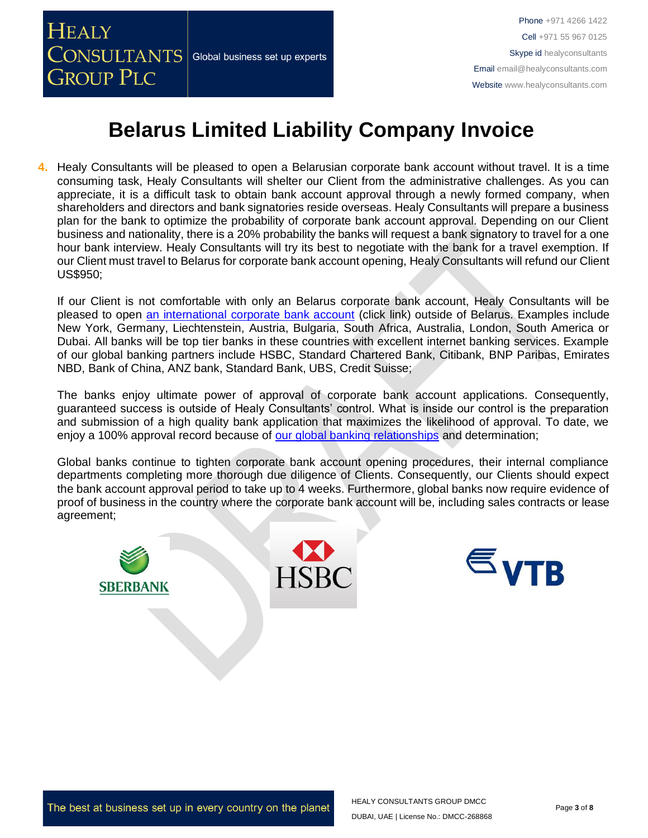

**4.** Healy Consultants will be pleased to open a Belarusian corporate bank account without travel. It is a time consuming task, Healy Consultants will shelter our Client from the administrative challenges. As you can appreciate, it is a difficult task to obtain bank account approval through a newly formed company, when shareholders and directors and bank signatories reside overseas. Healy Consultants will prepare a business plan for the bank to optimize the probability of corporate bank account approval. Depending on our Client business and nationality, there is a 20% probability the banks will request a bank signatory to travel for a one hour bank interview. Healy Consultants will try its best to negotiate with the bank for a travel exemption. If our Client must travel to Belarus for corporate bank account opening, Healy Consultants will refund our Client US\$950;

If our Client is not comfortable with only an Belarus corporate bank account, Healy Consultants will be pleased to open [an international corporate bank account](http://www.healyconsultants.com/international-banking/) (click link) outside of Belarus. Examples include New York, Germany, Liechtenstein, Austria, Bulgaria, South Africa, Australia, London, South America or Dubai. All banks will be top tier banks in these countries with excellent internet banking services. Example of our global banking partners include HSBC, Standard Chartered Bank, Citibank, BNP Paribas, Emirates NBD, Bank of China, ANZ bank, Standard Bank, UBS, Credit Suisse;

The banks enjoy ultimate power of approval of corporate bank account applications. Consequently, guaranteed success is outside of Healy Consultants' control. What is inside our control is the preparation and submission of a high quality bank application that maximizes the likelihood of approval. To date, we enjoy a 100% approval record because of [our global banking relationships](http://www.healyconsultants.com/international-banking/corporate-accounts/) and determination;

Global banks continue to tighten corporate bank account opening procedures, their internal compliance departments completing more thorough due diligence of Clients. Consequently, our Clients should expect the bank account approval period to take up to 4 weeks. Furthermore, global banks now require evidence of proof of business in the country where the corporate bank account will be, including sales contracts or lease agreement;



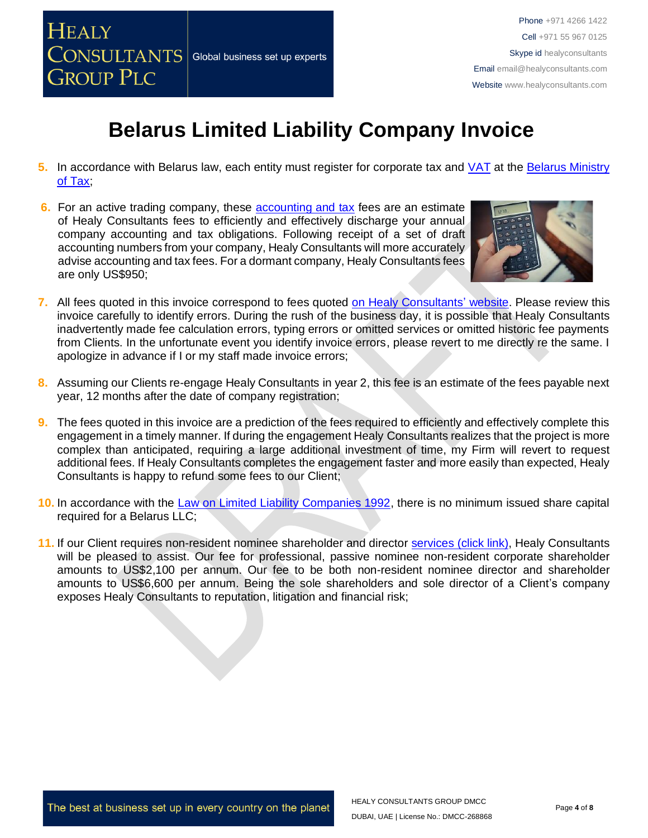

- **5.** In accordance with Belarus law, each entity must register for corporate tax and [VAT](http://www.belarus.by/en/invest/investment-climate/taxation) at the [Belarus Ministry](http://www.nalog.gov.by/ru/222/)  of Tax
- **6.** For an active trading company, these [accounting and tax](http://www.healyconsultants.com/belarus-company-registration/accounting-legal/) fees are an estimate of Healy Consultants fees to efficiently and effectively discharge your annual company accounting and tax obligations. Following receipt of a set of draft accounting numbers from your company, Healy Consultants will more accurately advise accounting and tax fees. For a dormant company, Healy Consultants fees are only US\$950;



- **7.** All fees quoted in this invoice correspond to fees quoted [on Healy Consultants' website.](http://www.healyconsultants.com/company-registration-fees/) Please review this invoice carefully to identify errors. During the rush of the business day, it is possible that Healy Consultants inadvertently made fee calculation errors, typing errors or omitted services or omitted historic fee payments from Clients. In the unfortunate event you identify invoice errors, please revert to me directly re the same. I apologize in advance if I or my staff made invoice errors;
- **8.** Assuming our Clients re-engage Healy Consultants in year 2, this fee is an estimate of the fees payable next year, 12 months after the date of company registration;
- **9.** The fees quoted in this invoice are a prediction of the fees required to efficiently and effectively complete this engagement in a timely manner. If during the engagement Healy Consultants realizes that the project is more complex than anticipated, requiring a large additional investment of time, my Firm will revert to request additional fees. If Healy Consultants completes the engagement faster and more easily than expected, Healy Consultants is happy to refund some fees to our Client;
- **10.** In accordance with the [Law on Limited Liability Companies 1992,](http://pravo.levonevsky.org/bazaby/zakon/text24/index.htm) there is no minimum issued share capital required for a Belarus LLC;
- **11.** If our Client requires non-resident nominee shareholder and director services [\(click link\),](http://www.healyconsultants.com/corporate-outsourcing-services/nominee-shareholders-directors/) Healy Consultants will be pleased to assist. Our fee for professional, passive nominee non-resident corporate shareholder amounts to US\$2,100 per annum. Our fee to be both non-resident nominee director and shareholder amounts to US\$6,600 per annum. Being the sole shareholders and sole director of a Client's company exposes Healy Consultants to reputation, litigation and financial risk;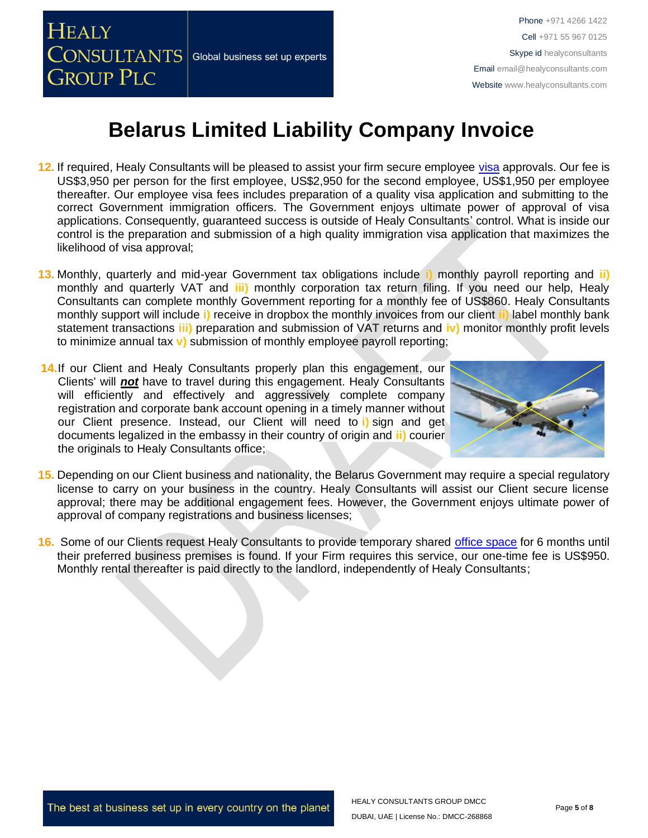

- **12.** If required, Healy Consultants will be pleased to assist your firm secure employee [visa](http://www.healyconsultants.com/belarus-company-registration/formation-support-services/) approvals. Our fee is US\$3,950 per person for the first employee, US\$2,950 for the second employee, US\$1,950 per employee thereafter. Our employee visa fees includes preparation of a quality visa application and submitting to the correct Government immigration officers. The Government enjoys ultimate power of approval of visa applications. Consequently, guaranteed success is outside of Healy Consultants' control. What is inside our control is the preparation and submission of a high quality immigration visa application that maximizes the likelihood of visa approval;
- **13.** Monthly, quarterly and mid-year Government tax obligations include **i)** monthly payroll reporting and **ii)** monthly and quarterly VAT and **iii)** monthly corporation tax return filing. If you need our help, Healy Consultants can complete monthly Government reporting for a monthly fee of US\$860. Healy Consultants monthly support will include **i)** receive in dropbox the monthly invoices from our client **ii)** label monthly bank statement transactions **iii)** preparation and submission of VAT returns and **iv)** monitor monthly profit levels to minimize annual tax **v)** submission of monthly employee payroll reporting;
- **14.**If our Client and Healy Consultants properly plan this engagement, our Clients' will *not* have to travel during this engagement. Healy Consultants will efficiently and effectively and aggressively complete company registration and corporate bank account opening in a timely manner without our Client presence. Instead, our Client will need to **i)** sign and get documents legalized in the embassy in their country of origin and **ii)** courier the originals to Healy Consultants office;



- **15.** Depending on our Client business and nationality, the Belarus Government may require a special regulatory license to carry on your business in the country. Healy Consultants will assist our Client secure license approval; there may be additional engagement fees. However, the Government enjoys ultimate power of approval of company registrations and business licenses;
- **16.** Some of our Clients request Healy Consultants to provide temporary shared [office space](http://www.healyconsultants.com/virtual-office/) for 6 months until their preferred business premises is found. If your Firm requires this service, our one-time fee is US\$950. Monthly rental thereafter is paid directly to the landlord, independently of Healy Consultants;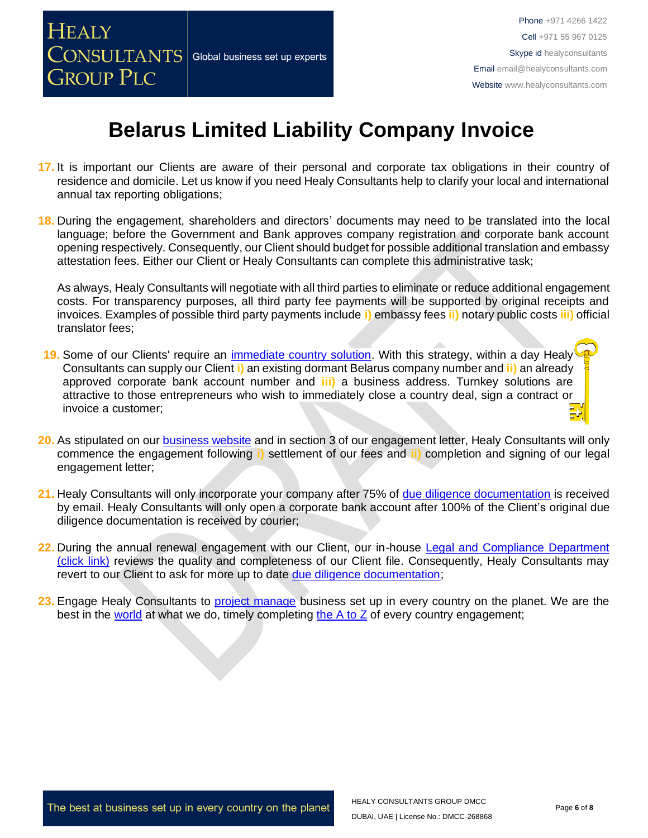

- **17.** It is important our Clients are aware of their personal and corporate tax obligations in their country of residence and domicile. Let us know if you need Healy Consultants help to clarify your local and international annual tax reporting obligations;
- **18.** During the engagement, shareholders and directors' documents may need to be translated into the local language; before the Government and Bank approves company registration and corporate bank account opening respectively. Consequently, our Client should budget for possible additional translation and embassy attestation fees. Either our Client or Healy Consultants can complete this administrative task;

As always, Healy Consultants will negotiate with all third parties to eliminate or reduce additional engagement costs. For transparency purposes, all third party fee payments will be supported by original receipts and invoices. Examples of possible third party payments include **i)** embassy fees **ii)** notary public costs **iii)** official translator fees;

- **19.** Some of our Clients' require an [immediate country solution.](http://www.healyconsultants.com/turnkey-solutions/) With this strategy, within a day Healy Consultants can supply our Client **i)** an existing dormant Belarus company number and **ii)** an already approved corporate bank account number and **iii)** a business address. Turnkey solutions are attractive to those entrepreneurs who wish to immediately close a country deal, sign a contract or invoice a customer;
- **20.** As stipulated on our [business website](http://www.healyconsultants.com/) and in section 3 of our engagement letter, Healy Consultants will only commence the engagement following **i)** settlement of our fees and **ii)** completion and signing of our legal engagement letter;
- **21.** Healy Consultants will only incorporate your company after 75% of [due diligence documentation](http://www.healyconsultants.com/due-diligence/) is received by email. Healy Consultants will only open a corporate bank account after 100% of the Client's original due diligence documentation is received by courier;
- **22.** During the annual renewal engagement with our Client, our in-house [Legal and Compliance Department](http://www.healyconsultants.com/about-us/key-personnel/cai-xin-profile/)  [\(click link\)](http://www.healyconsultants.com/about-us/key-personnel/cai-xin-profile/) reviews the quality and completeness of our Client file. Consequently, Healy Consultants may revert to our Client to ask for more up to date [due diligence documentation;](http://www.healyconsultants.com/due-diligence/)
- **23.** Engage Healy Consultants to [project manage](http://www.healyconsultants.com/project-manage-engagements/) business set up in every country on the planet. We are the best in the [world](http://www.healyconsultants.com/best-in-the-world/) at what we do, timely completing [the A to Z](http://www.healyconsultants.com/a-to-z-of-business-set-up/) of every country engagement;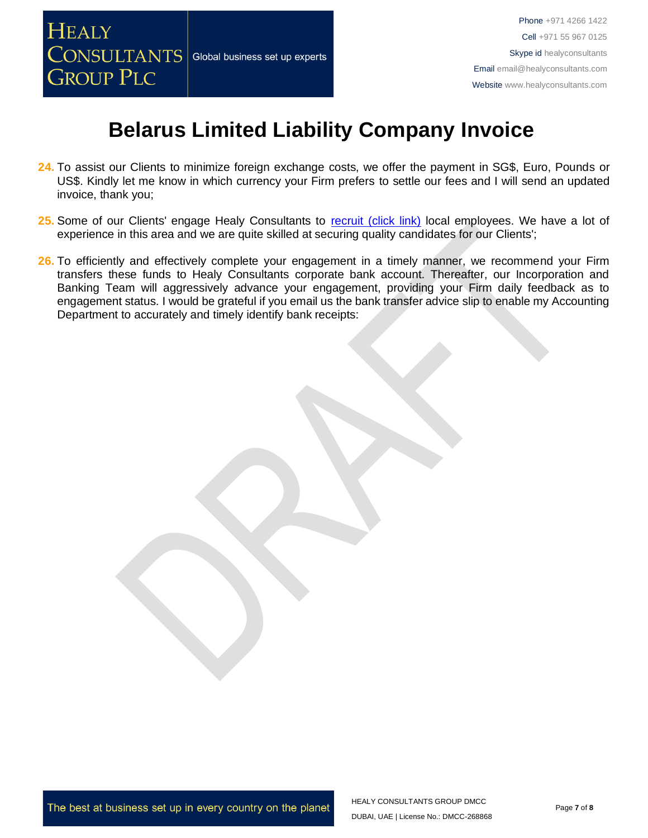

- **24.** To assist our Clients to minimize foreign exchange costs, we offer the payment in SG\$, Euro, Pounds or US\$. Kindly let me know in which currency your Firm prefers to settle our fees and I will send an updated invoice, thank you;
- 25. Some of our Clients' engage Healy Consultants to [recruit \(click link\)](http://www.healyconsultants.com/corporate-outsourcing-services/how-we-help-our-clients-recruit-quality-employees/) local employees. We have a lot of experience in this area and we are quite skilled at securing quality candidates for our Clients';
- 26. To efficiently and effectively complete your engagement in a timely manner, we recommend your Firm transfers these funds to Healy Consultants corporate bank account. Thereafter, our Incorporation and Banking Team will aggressively advance your engagement, providing your Firm daily feedback as to engagement status. I would be grateful if you email us the bank transfer advice slip to enable my Accounting Department to accurately and timely identify bank receipts: